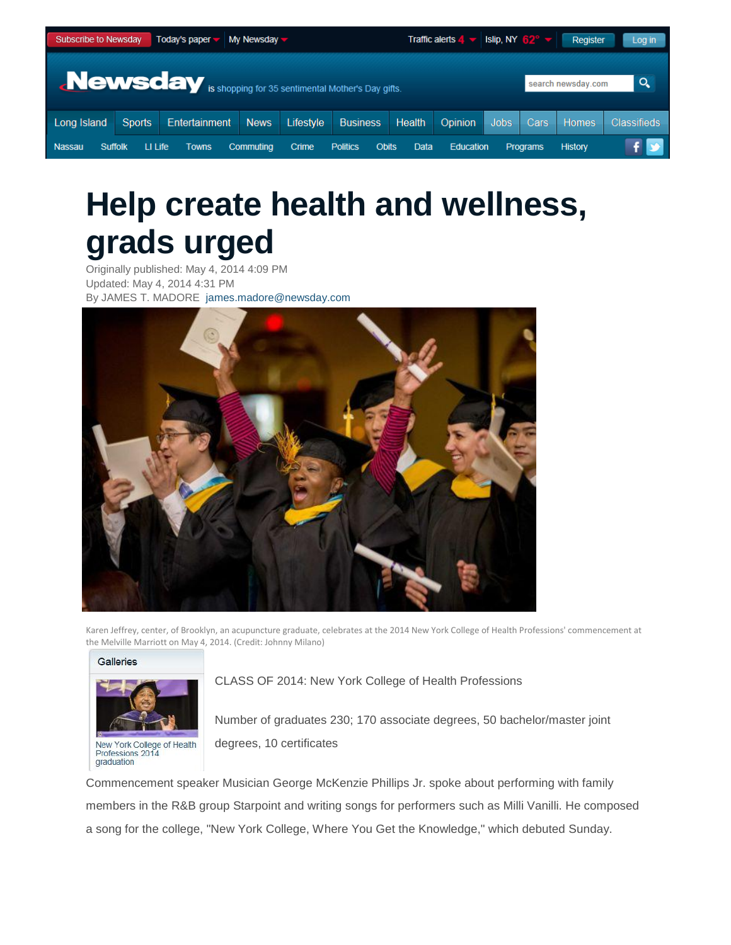|                                                                                                                                                                        | $\overline{\phantom{a}}$ Today's paper<br>$Mv$ Newsday $\blacktriangledown$<br>Subscribe to Newsday |                           |  |           |                        |  | Traffic alerts $4 \vee$ Islip, NY 62° $\vee$<br>Register<br>Log in |  |             |       |                    |
|------------------------------------------------------------------------------------------------------------------------------------------------------------------------|-----------------------------------------------------------------------------------------------------|---------------------------|--|-----------|------------------------|--|--------------------------------------------------------------------|--|-------------|-------|--------------------|
|                                                                                                                                                                        |                                                                                                     |                           |  |           |                        |  |                                                                    |  |             |       |                    |
| <b>Newsday</b> is shopping for 35 sentimental Mother's Day gifts.<br>search newsday.com                                                                                |                                                                                                     |                           |  |           |                        |  |                                                                    |  |             |       | $\alpha$           |
| Long Island                                                                                                                                                            | <b>Sports</b>                                                                                       | <b>Entertainment</b> News |  | Lifestyle | <b>Business</b> Health |  | Opinion                                                            |  | Jobs   Cars | Homes | <b>Classifieds</b> |
| Nassau<br>Crime<br>Data<br><b>Education</b><br>LI Life<br><b>Politics</b><br><b>Obits</b><br><b>History</b><br>Commuting<br><b>Programs</b><br>Suffolk<br><b>Towns</b> |                                                                                                     |                           |  |           |                        |  |                                                                    |  |             |       |                    |

# **Help create health and wellness, grads urged**

Originally published: May 4, 2014 4:09 PM Updated: May 4, 2014 4:31 PM By JAMES T. MADORE [james.madore@newsday.com](mailto:james.madore@newsday.com?subject=Newsday.com%20Article)



Karen Jeffrey, center, of Brooklyn, an acupuncture graduate, celebrates at the 2014 New York College of Health Professions' commencement at the Melville Marriott on May 4, 2014. (Credit: Johnny Milano)

#### Galleries



CLASS OF 2014: New York College of Health Professions

Number of graduates 230; 170 associate degrees, 50 bachelor/master joint degrees, 10 certificates

Commencement speaker Musician George McKenzie Phillips Jr. spoke about performing with family members in the R&B group Starpoint and writing songs for performers such as Milli Vanilli. He composed a song for the college, "New York College, Where You Get the Knowledge," which debuted Sunday.